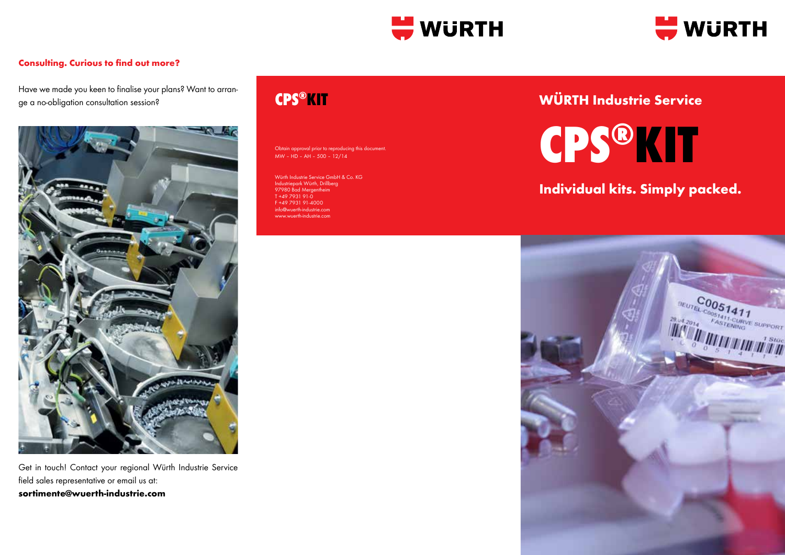



### **Consulting. Curious to find out more?**

Have we made you keen to finalise your plans? Want to arrange a no-obligation consultation session?



Get in touch! Contact your regional Würth Industrie Service field sales representative or email us at: **sortimente@wuerth-industrie.com**

# **CPS®KIT**

Obtain approval prior to reproducing this document MW – HD – AH – 500 – 12/14

Würth Industrie Service GmbH & Co. KG Industriepark Würth, Drillberg 97980 Bad Mergentheim T +49 7931 91-0 F +49 7931 91-4000 info@wuerth-industrie.com www.wuerth-industrie.com

# **WÜRTH Industrie Service**

**CPS®KIT**

### **Individual kits. Simply packed.**